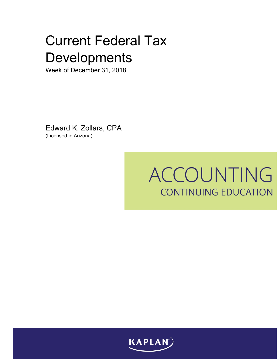Week of December 31, 2018

Edward K. Zollars, CPA (Licensed in Arizona)

# ACCOUNTING **CONTINUING EDUCATION**

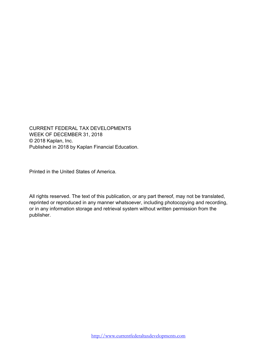CURRENT FEDERAL TAX DEVELOPMENTS WEEK OF DECEMBER 31, 2018 © 2018 Kaplan, Inc. Published in 2018 by Kaplan Financial Education.

Printed in the United States of America.

All rights reserved. The text of this publication, or any part thereof, may not be translated, reprinted or reproduced in any manner whatsoever, including photocopying and recording, or in any information storage and retrieval system without written permission from the publisher.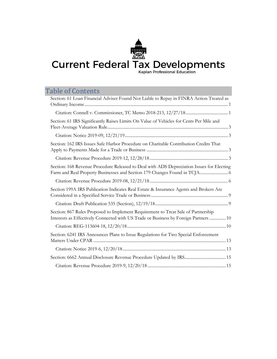# Table of Contents

| Section: 61 Loan Financial Adviser Found Not Liable to Repay in FINRA Action Treated as                                                                                   |
|---------------------------------------------------------------------------------------------------------------------------------------------------------------------------|
|                                                                                                                                                                           |
|                                                                                                                                                                           |
| Section: 61 IRS Significantly Raises Limits On Value of Vehicles for Cents Per Mile and                                                                                   |
|                                                                                                                                                                           |
| Section: 162 IRS Issues Safe Harbor Procedure on Charitable Contribution Credits That                                                                                     |
|                                                                                                                                                                           |
| Section: 168 Revenue Procedure Released to Deal with ADS Depreciation Issues for Electing<br>Farm and Real Property Businesses and Section 179 Changes Found in TCJA 6    |
|                                                                                                                                                                           |
| Section 199A IRS Publication Indicates Real Estate & Insurance Agents and Brokers Are                                                                                     |
|                                                                                                                                                                           |
| Section: 867 Rules Proposed to Implement Requirement to Treat Sale of Partnership<br>Interests as Effectively Connected with US Trade or Business by Foreign Partners  10 |
|                                                                                                                                                                           |
| Section: 6241 IRS Announces Plans to Issue Regulations for Two Special Enforcement                                                                                        |
|                                                                                                                                                                           |
|                                                                                                                                                                           |
|                                                                                                                                                                           |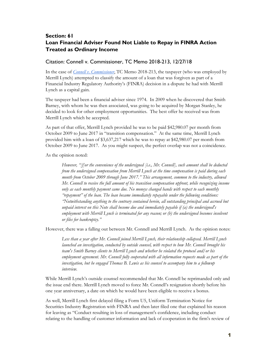# <span id="page-4-0"></span>**Section: 61 Loan Financial Adviser Found Not Liable to Repay in FINRA Action Treated as Ordinary Income**

#### <span id="page-4-1"></span>Citation: Connell v. Commissioner, TC Memo 2018-213, 12/27/18

In the case of *[Connell v. Commissioner](https://www.ustaxcourt.gov/USTCInOP/OpinionViewer.aspx?ID=11848)*, TC Memo 2018-213, the taxpayer (who was employed by Merrill Lynch) attempted to classify the amount of a loan that was forgiven as part of a Financial Industry Regulatory Authority's (FINRA) decision in a dispute he had with Merrill Lynch as a capital gain.

The taxpayer had been a financial adviser since 1974. In 2009 when he discovered that Smith Barney, with whom he was then associated, was going to be acquired by Morgan Stanley, he decided to look for other employment opportunities. The best offer he received was from Merrill Lynch which he accepted.

As part of that offer, Merrill Lynch provided he was to be paid \$42,980.07 per month from October 2009 to June 2017 in "transition compensation." At the same time, Merrill Lynch provided him with a loan of \$3,637,217 which he was to repay at \$42,980.07 per month from October 2009 to June 2017. As you might suspect, the perfect overlap was not a coincidence.

As the opinion noted:

*However, "[f]or the convenience of the undersigned [i.e., Mr. Connell], such amount shall be deducted from the undersigned compensation from Merrill Lynch at the time compensation is paid during each month from October 2009 through June 2017." This arrangement, common to the industry, allowed Mr. Connell to receive the full amount of his transition compensation upfront, while recognizing income only as each monthly payment came due. No moneys changed hands with respect to each monthly "repayment" of the loan. The loan became immediately repayable under the following conditions: "Notwithstanding anything to the contrary contained herein, all outstanding principal and accrued but unpaid interest on this Note shall become due and immediately payable if (a) the undersigned's employment with Merrill Lynch is terminated for any reason; or (b) the undersigned becomes insolvent or files for bankruptcy."*

However, there was a falling out between Mr. Connell and Merrill Lynch. As the opinion notes:

*Less than a year after Mr. Connell joined Merrill Lynch, their relationship collapsed. Merrill Lynch launched an investigation, conducted by outside counsel, with respect to how Mr. Connell brought his team's Smith Barney clients to Merrill Lynch and whether he violated the protocol and/or his employment agreement. Mr. Connell fully cooperated with all information requests made as part of the investigation, but he engaged Thomas B. Lewis as his counsel to accompany him to a followup interview.* 

While Merrill Lynch's outside counsel recommended that Mr. Connell be reprimanded only and the issue end there. Merrill Lynch moved to force Mr. Connell's resignation shortly before his one year anniversary, a date on which he would have been eligible to receive a bonus.

As well, Merrill Lynch first delayed filing a Form U5, Uniform Termination Notice for Securities Industry Registration with FINRA and then later filed one that explained his reason for leaving as "Conduct resulting in loss of management's confidence, including conduct relating to the handling of customer information and lack of cooperation in the firm's review of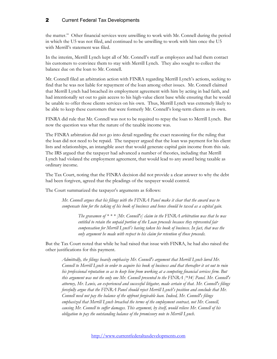the matter." Other financial services were unwilling to work with Mr. Connell during the period in which the U5 was not filed, and continued to be unwilling to work with him once the U5 with Merrill's statement was filed.

In the interim, Merrill Lynch kept all of Mr. Connell's staff as employees and had them contact his customers to convince them to stay with Merrill Lynch. They also sought to collect the balance due on the loan to Mr. Connell.

Mr. Connell filed an arbitration action with FINRA regarding Merrill Lynch's actions, seeking to find that he was not liable for repayment of the loan among other issues. Mr. Connell claimed that Merrill Lynch had breached its employment agreement with him by acting in bad faith, and had intentionally set out to gain access to his high-value client base while ensuring that he would be unable to offer those clients services on his own. Thus, Merrill Lynch was extremely likely to be able to keep these customers that were formerly Mr. Connell's long-term clients as its own.

FINRA did rule that Mr. Connell was not to be required to repay the loan to Merrill Lynch. But now the question was what the nature of the taxable income was.

The FINRA arbitration did not go into detail regarding the exact reasoning for the ruling that the loan did not need to be repaid. The taxpayer argued that the loan was payment for his client lists and relationships, an intangible asset that would generate capital gain income from this sale. The IRS argued that the taxpayer had advanced a number of theories, including that Merrill Lynch had violated the employment agreement, that would lead to any award being taxable as ordinary income.

The Tax Court, noting that the FINRA decision did not provide a clear answer to why the debt had been forgiven, agreed that the pleadings of the taxpayer would control.

The Court summarized the taxpayer's arguments as follows:

*Mr. Connell argues that his filings with the FINRA Panel make it clear that the award was to compensate him for the taking of his book of business and hence should be taxed as a capital gain.*

> *The gravamen of \* \* \* [Mr. Connell's] claim in the FINRA arbitration was that he was entitled to retain the unpaid portion of the Loan proceeds because they represented fair compensation for Merrill Lynch's having taken his book of business. In fact, that was the only argument he made with respect to his claim for retention of those proceeds.*

But the Tax Court noted that while he had raised that issue with FINRA, he had also raised the other justifications for this payment.

*Admittedly, the filings heavily emphasize Mr. Connell's argument that Merrill Lynch lured Mr. Connell to Merrill Lynch in order to acquire his book of business and that thereafter it set out to ruin his professional reputation so as to keep him from working at a competing financial services firm. But this argument was not the only one Mr. Connell presented to the FINRA [\*34] Panel. Mr. Connell's attorney, Mr. Lewis, an experienced and successful litigator, made certain of that. Mr. Connell's filings forcefully argue that the FINRA Panel should reject Merrill Lynch's position and conclude that Mr. Connell need not pay the balance of the upfront forgivable loan. Indeed, Mr. Connell's filings emphasized that Merrill Lynch breached the terms of the employment contract, not Mr. Connell, causing Mr. Connell to suffer damages. This argument, by itself, would relieve Mr. Connell of his obligation to pay the outstanding balance of the promissory note to Merrill Lynch.*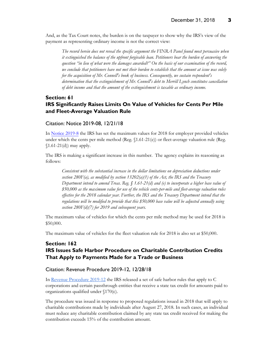And, as the Tax Court notes, the burden is on the taxpayer to show why the IRS's view of the payment as representing ordinary income is not the correct view:

*The record herein does not reveal the specific argument the FINRA Panel found most persuasive when it extinguished the balance of the upfront forgivable loan. Petitioners bear the burden of answering the question "in lieu of what were the damages awarded?" On the basis of our examination of the record, we conclude that petitioners have not met their burden to establish that the amount at issue was solely for the acquisition of Mr. Connell's book of business. Consequently, we sustain respondent's determination that the extinguishment of Mr. Connell's debt to Merrill Lynch constitutes cancellation of debt income and that the amount of the extinguishment is taxable as ordinary income.*

# <span id="page-6-0"></span>**Section: 61 IRS Significantly Raises Limits On Value of Vehicles for Cents Per Mile and Fleet-Average Valuation Rule**

#### <span id="page-6-1"></span>Citation: Notice 2019-08, 12/21/18

I[n Notice 2019-8](https://www.irs.gov/pub/irs-drop/n-19-08.pdf) the IRS has set the maximum values for 2018 for employer provided vehicles under which the cents per mile method (Reg. §1.61-21(e)) or fleet-average valuation rule (Reg.  $$1.61-21(d)$  may apply.

The IRS is making a significant increase in this number. The agency explains its reasoning as follows:

*Consistent with the substantial increase in the dollar limitations on depreciation deductions under section 280F(a), as modified by section 13202(a)(1) of the Act, the IRS and the Treasury Department intend to amend Treas. Reg. § 1.61-21(d) and (e) to incorporate a higher base value of \$50,000 as the maximum value for use of the vehicle cents-per-mile and fleet-average valuation rules effective for the 2018 calendar year. Further, the IRS and the Treasury Department intend that the regulations will be modified to provide that this \$50,000 base value will be adjusted annually using section 280F(d)(7) for 2019 and subsequent years.*

The maximum value of vehicles for which the cents per mile method may be used for 2018 is \$50,000.

The maximum value of vehicles for the fleet valuation rule for 2018 is also set at \$50,000.

## <span id="page-6-2"></span>**Section: 162 IRS Issues Safe Harbor Procedure on Charitable Contribution Credits That Apply to Payments Made for a Trade or Business**

#### <span id="page-6-3"></span>Citation: Revenue Procedure 2019-12, 12/28/18

In [Revenue Procedure 2019-12](https://www.irs.gov/pub/irs-drop/rp-19-12.pdf) the IRS released a set of safe harbor rules that apply to C corporations and certain passthrough entities that receive a state tax credit for amounts paid to organizations qualified under §170(c).

The procedure was issued in response to proposed regulations issued in 2018 that will apply to charitable contributions made by individuals after August 27, 2018. In such cases, an individual must reduce any charitable contribution claimed by any state tax credit received for making the contribution exceeds 15% of the contribution amount.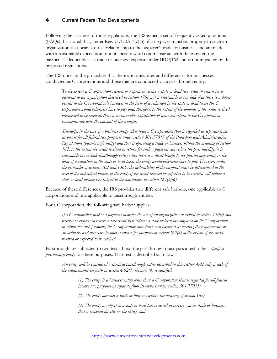Following the issuance of those regulations, the IRS issued a set of frequently asked questions (FAQs) that noted that, under Reg.  $(1.170A-1(c)(5))$ , if a taxpayer transfers property to such an organization that bears a direct relationship to the taxpayer's trade or business, and are made with a reasonable expectation of a financial reward commensurate with the transfer, the payment is deductible as a trade or business expense under IRC §162 and is not impacted by the proposed regulations.

The IRS notes in the procedure that there are similarities and differences for businesses conducted as C corporations and those that are conducted via a passthrough entity.

*To the extent a C corporation receives or expects to receive a state or local tax credit in return for a payment to an organization described in section 170(c), it is reasonable to conclude that there is a direct benefit to the C corporation's business in the form of a reduction in the state or local taxes the C corporation would otherwise have to pay and, therefore, to the extent of the amount of the credit received orexpected to be received, there is a reasonable expectation of financial return to the C corporation commensurate with the amount of the transfer.*

*Similarly, in the case of a business entity other than a C corporation that is regarded as separate from its owner for all federal tax purposes under section 301.77013 of the Procedure and Administration Reg ulations (passthrough entity) and that is operating a trade or business within the meaning of section 162, to the extent the credit received in return for such a payment can reduce the pass liability, it is reasonable to conclude thatthrough entity's tax there is a direct benefit to the passthrough entity in the form of a reduction in the state or local taxes the entity would otherwise have to pay. However, under the principles of sections 702 and 1366, the deductibility of the payment must be determine d at the level of the individual owners of the entity if the credit received or expected to be received will reduce a state or local income tax subject to the limitations in section 164(b)(6).*

Because of these differences, the IRS provides two different safe harbors, one applicable to C corporations and one applicable to passthrough entities.

For a C corporation, the following safe harbor applies:

*If a C corporation makes a payment to or for the use of an organization described in section 170(c) and receives or expects to receive a tax credit that reduces a state or local tax imposed on the C corporation in return for such payment, the C corporation may treat such payment as meeting the requirements of an ordinary and necessary business expense for purposes of section 162(a) to the extent of the credit received or expected to be received.* 

Passthrough are subjected to two tests. First, the passthrough must pass a test to be a *specified passthrough entity* for these purposes. That test is described as follows:

*An entity will be considered a specified passthrough entity described in this section 4.02 only if each of the requirements set forth in section 4.02(1) through (4) is satisfied.*

*(1) The entity is a business entity other than a C corporation that is regarded for all federal income tax purposes as separate from its owners under section 301.77013;* 

*(2) The entity operates a trade or business within the meaning of section 162;* 

*(3) The entity is subject to a state or local tax incurred in carrying on its trade or business that is imposed directly on the entity; and* 

[http://www.currentfederaltaxdevelopments.com](http://www.currentfederaltaxdevelopments.com/)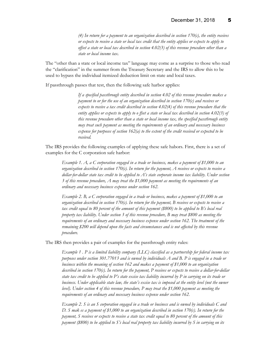*(4) In return for a payment to an organization described in section 170(c), the entity receives or expects to receive a state or local tax credit that the entity applies or expects to apply to offset a state or local tax described in section 4.02(3) of this revenue procedure other than a state or local income tax.*

The "other than a state or local income tax" language may come as a surprise to those who read the "clarification" in the summer from the Treasury Secretary and the IRS to allow this to be used to bypass the individual itemized deduction limit on state and local taxes.

If passthrough passes that test, then the following safe harbor applies:

*If a specified passthrough entity described in section 4.02 of this revenue procedure makes a payment to or for the use of an organization described in section 170(c) and receives or expects to receive a tax credit described in section 4.02(4) of this revenue procedure that the entity applies or expects to apply to o ffset a state or local tax described in section 4.02(3) of this revenue procedure other than a state or local income tax, the specified passthrough entity may treat such payment as meeting the requirements of an ordinary and necessary business expense for purposes of section 162(a) to the extent of the credit received or expected to be received.*

The IRS provides the following examples of applying these safe habors. First, there is a set of examples for the C corporation safe harbor:

*Example 1. A, a C corporation engaged in a trade or business, makes a payment of \$1,000 to an organization described in section 170(c). In return for the payment, A receives or expects to receive a dollar-for-dollar state tax credit to be applied to A's state corporate income tax liability. Under section 3 of this revenue procedure, A may treat the \$1,000 payment as meeting the requirements of an ordinary and necessary business expense under section 162.*

*Example 2. B, a C corporation engaged in a trade or business, makes a payment of \$1,000 to an organization described in section 170(c). In return for the payment, B receives or expects to receive a tax credit equal to 80 percent of the amount of this payment (\$800) to be applied to B's local real property tax liability. Under section 3 of this revenue procedure, B may treat \$800 as meeting the requirements of an ordinary and necessary business expense under section 162. The treatment of the remaining \$200 will depend upon the facts and circumstances and is not affected by this revenue procedure.*

The IRS then provides a pair of examples for the passthrough entity rules:

*Example 1 . P is a limited liability company (LLC) classified as a partnership for federal income tax purposes under section 301.77013 and is owned by individuals A and B. P is engaged in a trade or business within the meaning of section 162 and makes a payment of \$1,000 to an organization described in section 170(c). In return for the payment, P receives or expects to receive a dollar-for-dollar state tax credit to be applied to P's state excise tax liability incurred by P in carrying on its trade or business. Under applicable state law, the state's excise tax is imposed at the entity level (not the owner level). Under section 4 of this revenue procedure, P may treat the \$1,000 payment as meeting the requirements of an ordinary and necessary business expense under section 162.*

*Example 2. S is an S corporation engaged in a trade or business and is owned by individuals C and D. S mak es a payment of \$1,000 to an organization described in section 170(c). In return for the payment, S receives or expects to receive a state tax credit equal to 80 percent of the amount of this payment (\$800) to be applied to S's local real property tax liability incurred by S in carrying on its*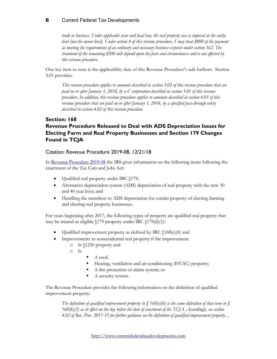*trade or business. Under applicable state and local law, the real property tax is imposed at the entity level (not the owner level). Under section 4 of this revenue procedure, S may treat \$800 of the payment as meeting the requirements of an ordinary and necessary business expense under section 162. The treatment of the remaining \$200 will depend upon the facts and circumstances and is not affected by this revenue procedure.*

One key item to note is the applicability date of this Revenue Procedure's safe harbors. Section 5.01 provides:

*This revenue procedure applies to amounts described in section 3.02 of this revenue procedure that are paid on or after January 1, 2018, by a C corporation described in section 3.01 of this revenue procedure. In addition, this revenue procedure applies to amounts described in section 4.03 of this revenue procedure that are paid on or after January 1, 2018, by a specified pass-through entity described in section 4.02 of this revenue procedure.*

# <span id="page-9-0"></span>**Section: 168 Revenue Procedure Released to Deal with ADS Depreciation Issues for Electing Farm and Real Property Businesses and Section 179 Changes Found in TCJA**

#### <span id="page-9-1"></span>Citation: Revenue Procedure 2019-08, 12/21/18

In [Revenue Procedure 2019-08](https://www.irs.gov/pub/irs-drop/rp-19-08.pdf) the IRS gives information on the following items following the enactment of the Tax Cuts and Jobs Act:

- Qualified real property under IRC §179;
- Alternative depreciation system (ADS) depreciation of real property with the new 30 and 40 year lives; and
- Handling the transition to ADS depreciation for certain property of electing farming and electing real property businesses.

For years beginning after 2017, the following types of property are qualified real property that may be treated as eligible §179 property under IRC §179(d)(1):

- Qualified improvement property as defined by IRC §168(e)(6) and
- Improvements to nonresidential real property if the improvement:
	- o Is §1250 property and
		- o Is
- $A$  roof;
- Heating, ventilation and air conditioning (HVAC) property;
- A fire protection or alarm system; or
- A security system.

The Revenue Procedure provides the following information on the definition of qualified improvement property:

*The definition of qualified improvement property in § 168(e)(6) is the same definition of that term in § 168(k)(3) as in effect on the day before the date of enactment of the TCJA. Accordingly, see section 4.02 of Rev. Proc. 2017-33 for further guidance on the definition of qualified improvement property…*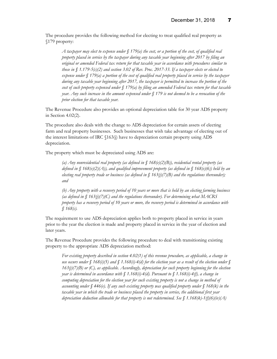The procedure provides the following method for electing to treat qualified real property as §179 property:

*A taxpayer may elect to expense under § 179(a) the cost, or a portion of the cost, of qualified real property placed in service by the taxpayer during any taxable year beginning after 2017 by filing an original or amended Federal tax return for that taxable year in accordance with procedures similar to those in* § 1.179-5(c)(2) and section 3.02 of Rev. Proc. 2017-33. If a taxpayer elects or elected to *expense under § 179(a) a portion of the cost of qualified real property placed in service by the taxpayer during any taxable year beginning after 2017, the taxpayer is permitted to increase the portion of the cost of such property expensed under § 179(a) by filing an amended Federal tax return for that taxable year. Any such increase in the amount expensed under § 179 is not deemed to be a revocation of the prior election for that taxable year.*

The Revenue Procedure also provides an optional depreciation table for 30 year ADS property in Section 4.02(2).

The procedure also deals with the change to ADS depreciation for certain assets of electing farm and real property businesses. Such businesses that wish take advantage of electing out of the interest limitations of IRC §163(j) have to depreciation certain property using ADS depreciation.

The property which must be depreciated using ADS are:

*(a) Any nonresidential real property (as defined in § 168(e)(2)(B)), residential rental property (as defined in § 168(e)(2)(A)), and qualified improvement property (as defined in § 168(e)(6)) held by an electing real property trade or business (as defined in § 163(j)(7)(B) and the regulations thereunder); and*

*(b) Any property with a recovery period of 10 years or more that is held by an electing farming business (as defined in § 163(j)(7)(C) and the regulations thereunder). For determining what MACRS property has a recovery period of 10 years or more, the recovery period is determined in accordance with § 168(c).*

The requirement to use ADS depreciation applies both to property placed in service in years prior to the year the election is made and property placed in service in the year of election and later years.

The Revenue Procedure provides the following procedure to deal with transitioning existing property to the appropriate ADS depreciation method:

*For existing property described in section 4.02(1) of this revenue procedure, as applicable, a change in use occurs under § 168(i)(5) and § 1.168(i)-4(d) for the election year as a result of the election under § 163(j)(7)(B) or (C), as applicable. Accordingly, depreciation for such property beginning for the election year is determined in accordance with § 1.168(i)-4(d). Pursuant to § 1.168(i)-4(f), a change in computing depreciation for the election year for such existing property is not a change in method of accounting under § 446(e). If any such existing property was qualified property under § 168(k) in the taxable year in which the trade or business placed the property in service, the additional first year depreciation deduction allowable for that property is not redetermined. See § 1.168(k)-1(f)(6)(iv)(A)*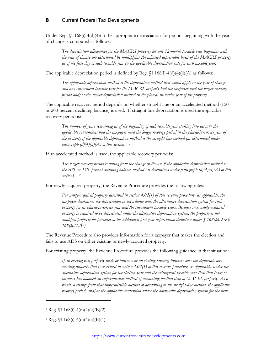Under Reg.  $$1.168(i)-4(d)(4)(ii)$  the appropriate depreciation for periods beginning with the year of change is computed as follows:

*The depreciation allowances for the MACRS property for any 12-month taxable year beginning with the year of change are determined by multiplying the adjusted depreciable basis of the MACRS property as of the first day of each taxable year by the applicable depreciation rate for each taxable year.*

The applicable depreciation period is defined by Reg.  $(1.168(i)-4(d))(4)(ii)(A)$  as follows:

*The applicable depreciation method is the depreciation method that would apply in the year of change and any subsequent taxable year for the MACRS property had the taxpayer used the longer recovery period and/or the slower depreciation method in the placed- in-service year of the property.*

The applicable recovery period depends on whether straight line or an accelerated method (150 or 200-percent declining balance) is used. If straight line depreciation is used the applicable recovery period is:

*The number of years remaining as of the beginning of each taxable year (taking into account the applicable convention) had the taxpayer used the longer recovery period in the placed-in-service year of the property if the applicable depreciation method is the straight line method (as determined under paragraph (d)(4)(ii)(A) of this section)...[1](#page-11-0)*

If an accelerated method is used, the applicable recovery period is:

*The longer recovery period resulting from the change in the use if the applicable depreciation method is the 200- or 150- percent declining balance method (as determined under paragraph (d)(4)(ii)(A) of this section)…[2](#page-11-1)*

For newly-acquired property, the Revenue Procedure provides the following rules:

*For newly-acquired property described in section 4.02(1) of this revenue procedure, as applicable, the taxpayer determines the depreciation in accordance with the alternative depreciation system for such property for its placed-in-service year and the subsequent taxable years. Because such newly-acquired property is required to be depreciated under the alternative depreciation system, the property is not qualified property for purposes of the additional first year depreciation deduction under § 168(k). See § 168(k)(2)(D).*

The Revenue Procedure also provides information for a taxpayer that makes the election and fails to use ADS on either existing or newly-acquired property.

For existing property, the Revenue Procedure provides the following guidance in that situation:

*If an electing real property trade or business or an electing farming business does not depreciate any existing property that is described in section 4.02(1) of this revenue procedure, as applicable, under the alternative depreciation system for the election year and the subsequent taxable year then that trade or business has adopted an impermissible method of accounting for that item of MACRS property. As a result, a change from that impermissible method of accounting to the straight-line method, the applicable recovery period, and/or the applicable convention under the alternative depreciation system for the item* 

 $\overline{a}$ 

<span id="page-11-0"></span> $1$  Reg.  $(1.168(i) - 4(d)(4)(ii)(B)(2)$ 

<span id="page-11-1"></span><sup>&</sup>lt;sup>2</sup> Reg.  $(1.168(i) - 4(d)(4)(ii)(B)(1)$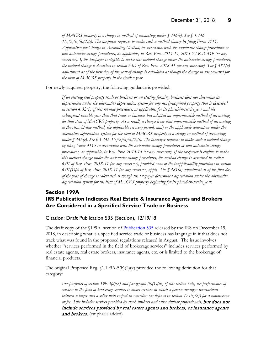*of MACRS property is a change in method of accounting under § 446(e). See § 1.446- 1(e)(2)(ii)(d)(2)(i). The taxpayer requests to make such a method change by filing Form 3115, Application for Change in Accounting Method, in accordance with the automatic change procedures or non-automatic change procedures, as applicable, in Rev. Proc. 2015-13, 2015-5 I.R.B. 419 (or any successor). If the taxpayer is eligible to make this method change under the automatic change procedures, the method change is described in section 6.05 of Rev. Proc. 2018-31 (or any successor). The § 481(a) adjustment as of the first day of the year of change is calculated as though the change in use occurred for the item of MACRS property in the election year.*

For newly-acquired property, the following guidance is provided:

*If an electing real property trade or business or an electing farming business does not determine its depreciation under the alternative depreciation system for any newly-acquired property that is described in section 4.02(1) of this revenue procedure, as applicable, for its placed-in-service year and the subsequent taxable year then that trade or business has adopted an impermissible method of accounting for that item of MACRS property. As a result, a change from that impermissible method of accounting to the straight-line method, the applicable recovery period, and/or the applicable convention under the alternative depreciation system for the item of MACRS property is a change in method of accounting under § 446(e). See § 1.446-1(e)(2)(ii)(d)(2)(i). The taxpayer requests to make such a method change by filing Form 3115 in accordance with the automatic change procedures or non-automatic change procedures, as applicable, in Rev. Proc. 2015-13 (or any successor). If the taxpayer is eligible to make this method change under the automatic change procedures, the method change is described in section 6.01 of Rev. Proc. 2018-31 (or any successor), provided none of the inapplicability provisions in section 6.01(1)(c) of Rev. Proc. 2018-31 (or any successor) apply. The § 481(a) adjustment as of the first day of the year of change is calculated as though the taxpayer determined depreciation under the alternative depreciation system for the item of MACRS property beginning for its placed-in-service year.*

# <span id="page-12-0"></span>**Section 199A IRS Publication Indicates Real Estate & Insurance Agents and Brokers Are Considered in a Specified Service Trade or Business**

<span id="page-12-1"></span>Citation: Draft Publication 535 (Section), 12/19/18

The draft copy of the §199A section of [Publication 535](https://www.irs.gov/pub/irs-dft/p535--dft.pdf) released by the IRS on December 19, 2018, in describing what is a specified service trade or business has language in it that does not track what was found in the proposed regulations released in August. The issue involves whether "services performed in the field of brokerage services" includes services performed by real estate agents, real estate brokers, insurance agents, etc. or is limited to the brokerage of financial products.

The original Proposed Reg.  $(1.199A-5(b)(2)(x)$  provided the following definition for that category:

*For purposes of section 199A(d)(2) and paragraph (b)(1)(ix) of this section only, the performance of services in the field of brokerage services includes services in which a person arranges transactions between a buyer and a seller with respect to securities (as defined in section 475(c)(2)) for a commission or fee. This includes services provided by stock brokers and other similar professionals,* but does not include services provided by real estate agents and brokers, or insurance agents and brokers. (emphasis added)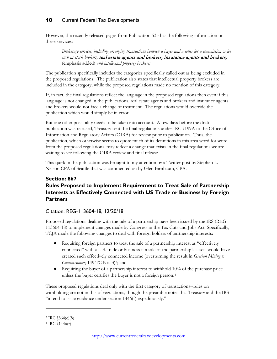However, the recently released pages from Publication 535 has the following information on these services:

*Brokerage services, including arranging transactions between a buyer and a seller for a commission or fee*  such as stock brokers, **real estate agents and brokers, insurance agents and brokers**, (emphasis added) *and intellectual property brokers;*

The publication specifically includes the categories specifically called out as being excluded in the proposed regulations. The publication also states that intellectual property brokers are included in the category, while the proposed regulations made no mention of this category.

If, in fact, the final regulations reflect the language in the proposed regulations then even if this language is not changed in the publications, real estate agents and brokers and insurance agents and brokers would not face a change of treatment. The regulations would override the publication which would simply be in error.

But one other possibility needs to be taken into account. A few days before the draft publication was released, Treasury sent the final regulations under IRC §199A to the Office of Information and Regulatory Affairs (OIRA) for review prior to publication. Thus, the publication, which otherwise seems to quote much of its definitions in this area word for word from the proposed regulations, may reflect a change that exists in the final regulations we are waiting to see following the OIRA review and final release.

This quirk in the publication was brought to my attention by a Twitter post by Stephen L. Nelson CPA of Seattle that was commented on by Glen Birnbaum, CPA.

# <span id="page-13-0"></span>**Section: 867 Rules Proposed to Implement Requirement to Treat Sale of Partnership Interests as Effectively Connected with US Trade or Business by Foreign Partners**

#### <span id="page-13-1"></span>Citation: REG-113604-18, 12/20/18

Proposed regulations dealing with the sale of a partnership have been issued by the IRS (REG-113604-18) to implement changes made by Congress in the Tax Cuts and Jobs Act. Specifically, TCJA made the following changes to deal with foreign holders of partnership interests:

- Requiring foreign partners to treat the sale of a partnership interest as "effectively connected" with a U.S. trade or business if a sale of the partnership's assets would have created such effectively connected income (overturning the result in *Grecian Mining v. Commissioner*, 149 TC No. [3](#page-13-2))<sup>3</sup>; and
- Requiring the buyer of a partnership interest to withhold 10% of the purchase price unless the buyer certifies the buyer is not a foreign person.[4](#page-13-3)

These proposed regulations deal only with the first category of transactions--rules on withholding are not in this of regulations, though the preamble notes that Treasury and the IRS "intend to issue guidance under section 1446(f) expeditiously."

 $\overline{a}$ 

<span id="page-13-2"></span><sup>3</sup> IRC §864(c)(8)

<span id="page-13-3"></span><sup>4</sup> IRC §1446(f)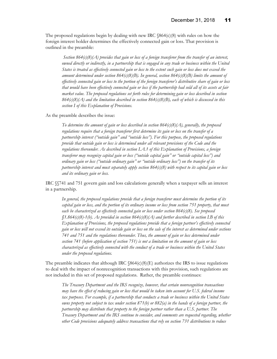The proposed regulations begin by dealing with new IRC  $$864(c)(8)$  with rules on how the foreign interest holder determines the effectively connected gain or loss. That provision is outlined in the preamble:

*Section 864(c)(8)(A) provides that gain or loss of a foreign transferor from the transfer of an interest, owned directly or indirectly, in a partnership that is engaged in any trade or business within the United States is treated as effectively connected gain or loss to the extent such gain or loss does not exceed the amount determined under section 864(c)(8)(B). In general, section 864(c)(8)(B) limits the amount of effectively connected gain or loss to the portion of the foreign transferor's distributive share of gain or loss that would have been effectively connected gain or loss if the partnership had sold all of its assets at fair market value. The proposed regulations set forth rules for determining gain or loss described in section 864(c)(8)(A) and the limitation described in section 864(c)(8)(B), each of which is discussed in this section I of this Explanation of Provisions.*

As the preamble describes the issue:

*To determine the amount of gain or loss described in section 864(c)(8)(A), generally, the proposed regulations require that a foreign transferor first determine its gain or loss on the transfer of a partnership interest ("outside gain" and "outside loss"). For this purpose, the proposed regulations provide that outside gain or loss is determined under all relevant provisions of the Code and the regulations thereunder. As described in section I.A.1 of this Explanation of Provisions, a foreign transferor may recognize capital gain or loss ("outside capital gain" or "outside capital loss") and ordinary gain or loss ("outside ordinary gain" or "outside ordinary loss") on the transfer of its partnership interest and must separately apply section 864(c)(8) with respect to its capital gain or loss and its ordinary gain or loss.*

IRC §§741 and 751 govern gain and loss calculations generally when a taxpayer sells an interest in a partnership.

*In general, the proposed regulations provide that a foreign transferor must determine the portion of its capital gain or loss, and the portion of its ordinary income or loss from section 751 property, that must each be characterized as effectively connected gain or loss under section 864(c)(8). See proposed §1.864(c)(8)-1(b). As provided in section 864(c)(8)(A) and further described in section I.B of this Explanation of Provisions, the proposed regulations provide that a foreign partner's effectively connected gain or loss will not exceed its outside gain or loss on the sale of the interest as determined under sections 741 and 751 and the regulations thereunder. Thus, the amount of gain or loss determined under section 741 (before application of section 751) is not a limitation on the amount of gain or loss characterized as effectively connected with the conduct of a trade or business within the United States under the proposed regulations.*

The preamble indicates that although IRC  $$864(c)(8)(E)$  authorizes the IRS to issue regulations to deal with the impact of nonrecognition transactions with this provision, such regulations are not included in this set of proposed regulations. Rather, the preamble continues:

*The Treasury Department and the IRS recognize, however, that certain nonrecognition transactions may have the effect of reducing gain or loss that would be taken into account for U.S. federal income tax purposes. For example, if a partnership that conducts a trade or business within the United States owns property not subject to tax under section 871(b) or 882(a) in the hands of a foreign partner, the partnership may distribute that property to the foreign partner rather than a U.S. partner. The Treasury Department and the IRS continue to consider, and comments are requested regarding, whether other Code provisions adequately address transactions that rely on section 731 distributions to reduce*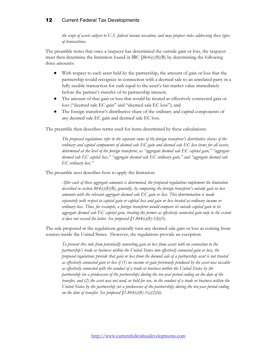*the scope of assets subject to U.S. federal income taxation, and may propose rules addressing these types of transactions.*

The preamble notes that once a taxpayer has determined the outside gain or loss, the taxpayer must then determine the limitation found in IRC §864(c)(8)(B) by determining the following three amounts:

- With respect to each asset held by the partnership, the amount of gain or loss that the partnership would recognize in connection with a deemed sale to an unrelated party in a fully taxable transaction for cash equal to the asset's fair market value immediately before the partner's transfer of its partnership interest;
- The amount of that gain or loss that would be treated as effectively connected gain or loss ("deemed sale EC gain" and "deemed sale EC loss"); and
- The foreign transferor's distributive share of the ordinary and capital components of any deemed sale EC gain and deemed sale EC loss.

The preamble then describes terms used for items determined by these calculations:

*The proposed regulations refer to the separate sums of the foreign transferor's distributive shares of the ordinary and capital components of deemed sale EC gain and deemed sale EC loss items for all assets, determined at the level of the foreign transferor, as "aggregate deemed sale EC capital gain," "aggregate deemed sale EC capital loss," "aggregate deemed sale EC ordinary gain," and "aggregate deemed sale EC ordinary loss."*

The preamble next describes how to apply the limitation:

*After each of these aggregate amounts is determined, the proposed regulations implement the limitation described in section 864(c)(8)(B), generally, by comparing the foreign transferor's outside gain or loss amounts with the relevant aggregate deemed sale EC gain or loss. This determination is made separately with respect to capital gain or capital loss and gain or loss treated as ordinary income or ordinary loss. Thus, for example, a foreign transferor would compare its outside capital gain to its aggregate deemed sale EC capital gain, treating the former as effectively connected gain only to the extent it does not exceed the latter. See proposed §1.864(c)(8)-1(b)(3).*

The rule proposed in the regulations generally turn any deemed sale gain or loss as coming from sources inside the United States. However, the regulations provide an exception:

*To prevent this rule from potentially converting gain or loss from assets with no connection to the partnership's trade or business within the United States into effectively connected gain or loss, the proposed regulations provide that gain or loss from the deemed sale of a partnership asset is not treated as effectively connected gain or loss if (1) no income or gain previously produced by the asset was taxable as effectively connected with the conduct of a trade or business within the United States by the partnership (or a predecessor of the partnership) during the ten-year period ending on the date of the transfer, and (2) the asset was not used, or held for use, in the conduct of a trade or business within the United States by the partnership (or a predecessor of the partnership) during the ten-year period ending on the date of transfer. See proposed §1.864(c)(8)-1(c)(2)(ii).*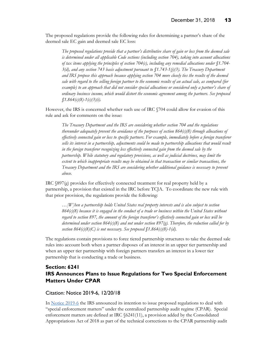The proposed regulations provide the following rules for determining a partner's share of the deemed sale EC gain and deemed sale EC loss:

*The proposed regulations provide that a partner's distributive share of gain or loss from the deemed sale is determined under all applicable Code sections (including section 704), taking into account allocations of tax items applying the principles of section 704(c), including any remedial allocations under §1.704- 3(d), and any section 743 basis adjustment pursuant to §1.743-1(j)(3). The Treasury Department and IRS propose this approach because applying section 704 more closely ties the results of the deemed sale with regard to the selling foreign partner to the economic results of an actual sale, as compared (for example) to an approach that did not consider special allocations or considered only a partner's share of ordinary business income, which would distort the economic agreement among the partners. See proposed §1.864(c)(8)-1(c)(3)(i).*

However, the IRS is concerned whether such use of IRC §704 could allow for evasion of this rule and ask for comments on the issue:

*The Treasury Department and the IRS are considering whether section 704 and the regulations thereunder adequately prevent the avoidance of the purposes of section 864(c)(8) through allocations of effectively connected gain or loss to specific partners. For example, immediately before a foreign transferor sells its interest in a partnership, adjustments could be made to partnership allocations that would result in the foreign transferor recognizing less effectively connected gain from the deemed sale by the partnership. While statutory and regulatory provisions, as well as judicial doctrines, may limit the extent to which inappropriate results may be obtained in that transaction or similar transactions, the Treasury Department and the IRS are considering whether additional guidance is necessary to prevent abuse.*

IRC §897(g) provides for effectively connected treatment for real property held by a partnership, a provision that existed in the IRC before TCJA. To coordinate the new rule with that prior provision, the regulations provide the following:

*…[W]hen a partnership holds United States real property interests and is also subject to section 864(c)(8) because it is engaged in the conduct of a trade or business within the United States without regard to section 897, the amount of the foreign transferor's effectively connected gain or loss will be determined under section 864(c)(8) and not under section 897(g). Therefore, the reduction called for by section 864(c)(8)(C) is not necessary. See proposed*  $$1.864(c)(8)-1(d)$ .

The regulations contain provisions to force tiered partnership structures to take the deemed sale rules into account both when a partner disposes of an interest in an upper tier partnership and when an upper tier partnership with foreign partners transfers an interest in a lower tier partnership that is conducting a trade or business.

# <span id="page-16-0"></span>**Section: 6241 IRS Announces Plans to Issue Regulations for Two Special Enforcement Matters Under CPAR**

#### <span id="page-16-1"></span>Citation: Notice 2019-6, 12/20/18

In [Notice 2019-6](https://www.irs.gov/pub/irs-drop/n-19-06.pdf) the IRS announced its intention to issue proposed regulations to deal with "special enforcement matters" under the centralized partnership audit regime (CPAR). Special enforcement matters are defined at IRC §6241(11), a provision added by the Consolidated Appropriations Act of 2018 as part of the technical corrections to the CPAR partnership audit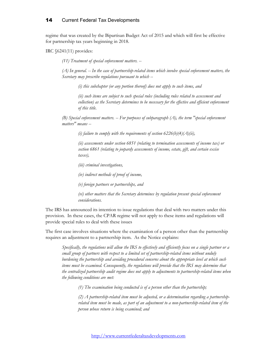regime that was created by the Bipartisan Budget Act of 2015 and which will first be effective for partnership tax years beginning in 2018.

IRC §6241(11) provides:

*(11) Treatment of special enforcement matters. --*

*(A) In general. -- In the case of partnership-related items which involve special enforcement matters, the Secretary may prescribe regulations pursuant to which --*

*(i) this subchapter (or any portion thereof) does not apply to such items, and*

*(ii) such items are subject to such special rules (including rules related to assessment and collection) as the Secretary determines to be necessary for the effective and efficient enforcement of this title.*

*(B) Special enforcement matters. -- For purposes of subparagraph (A), the term "special enforcement matters" means --*

*(i) failure to comply with the requirements of section 6226(b)(4)(A)(ii),*

*(ii) assessments under section 6851 (relating to termination assessments of income tax) or section 6861 (relating to jeopardy assessments of income, estate, gift, and certain excise taxes),*

*(iii) criminal investigations,*

*(iv) indirect methods of proof of income,*

*(v) foreign partners or partnerships, and*

*(vi) other matters that the Secretary determines by regulation present special enforcement considerations.*

The IRS has announced its intention to issue regulations that deal with two matters under this provision. In these cases, the CPAR regime will not apply to these items and regulations will provide special rules to deal with these issues

The first case involves situations where the examination of a person other than the partnership requires an adjustment to a partnership item. As the Notice explains:

*Specifically, the regulations will allow the IRS to effectively and efficiently focus on a single partner or a small group of partners with respect to a limited set of partnership-related items without unduly burdening the partnership and avoiding procedural concerns about the appropriate level at which such items must be examined. Consequently, the regulations will provide that the IRS may determine that the centralized partnership audit regime does not apply to adjustments to partnership-related items when the following conditions are met:*

*(1) The examination being conducted is of a person other than the partnership;*

*(2) A partnership-related item must be adjusted, or a determination regarding a partnershiprelated item must be made, as part of an adjustment to a non-partnership-related item of the person whose return is being examined; and*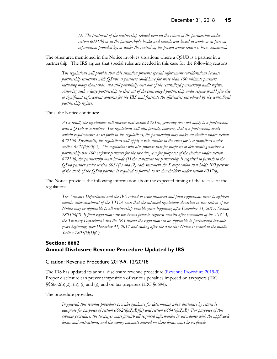*(3) The treatment of the partnership-related item on the return of the partnership under section 6031(b) or in the partnership's books and records was based in whole or in part on information provided by, or under the control of, the person whose return is being examined.*

The other area mentioned in the Notice involves situations where a QSUB is a partner in a partnership. The IRS argues that special rules are needed in this case for the following reasons:

*The regulations will provide that this situation presents special enforcement considerations because partnership structures with QSubs as partners could have far more than 100 ultimate partners, including many thousands, and still potentially elect out of the centralized partnership audit regime. Allowing such a large partnership to elect out of the centralized partnership audit regime would give rise to significant enforcement concerns for the IRS and frustrate the efficiencies introduced by the centralized partnership regime.*

Thus, the Notice continues:

*As a result, the regulations will provide that section 6221(b) generally does not apply to a partnership with a QSub as a partner. The regulations will also provide, however, that if a partnership meets certain requirements as set forth in the regulations, the partnership may make an election under section 6221(b). Specifically, the regulations will apply a rule similar to the rules for S corporations under section 6221(b)(2)(A). The regulations will also provide that for purposes of determining whether a partnership has 100 or fewer partners for the taxable year for purposes of the election under section 6221(b), the partnership must include (1) the statement the partnership is required to furnish to the QSub partner under section 6031(b) and (2) each statement the S corporation that holds 100 percent of the stock of the QSub partner is required to furnish to its shareholders under section 6037(b).*

The Notice provides the following information about the expected timing of the release of the regulations:

*The Treasury Department and the IRS intend to issue proposed and final regulations prior to eighteen months after enactment of the TTCA such that the intended regulations described in this section of the Notice may be applicable to all partnership taxable years beginning after December 31, 2017. Section 7805(b)(2). If final regulations are not issued prior to eighteen months after enactment of the TTCA, the Treasury Department and the IRS intend the regulations to be applicable to partnership taxable years beginning after December 31, 2017 and ending after the date this Notice is issued to the public. Section 7805(b)(1)(C).*

#### <span id="page-18-0"></span>**Section: 6662 Annual Disclosure Revenue Procedure Updated by IRS**

#### <span id="page-18-1"></span>Citation: Revenue Procedure 2019-9, 12/20/18

The IRS has updated its annual disclosure revenue procedure [\(Revenue Procedure 2019-9\)](https://www.irs.gov/pub/irs-drop/rp-19-9.pdf). Proper disclosure can prevent imposition of various penalties imposed on taxpayers (IRC §§6662(b)(2), (h), (i) and (j)) and on tax preparers (IRC §6694).

The procedure provides:

*In general, this revenue procedure provides guidance for determining when disclosure by return is adequate for purposes of section 6662(d)(2)(B)(ii) and section 6694(a)(2)(B). For purposes of this revenue procedure, the taxpayer must furnish all required information in accordance with the applicable forms and instructions, and the money amounts entered on these forms must be verifiable.*